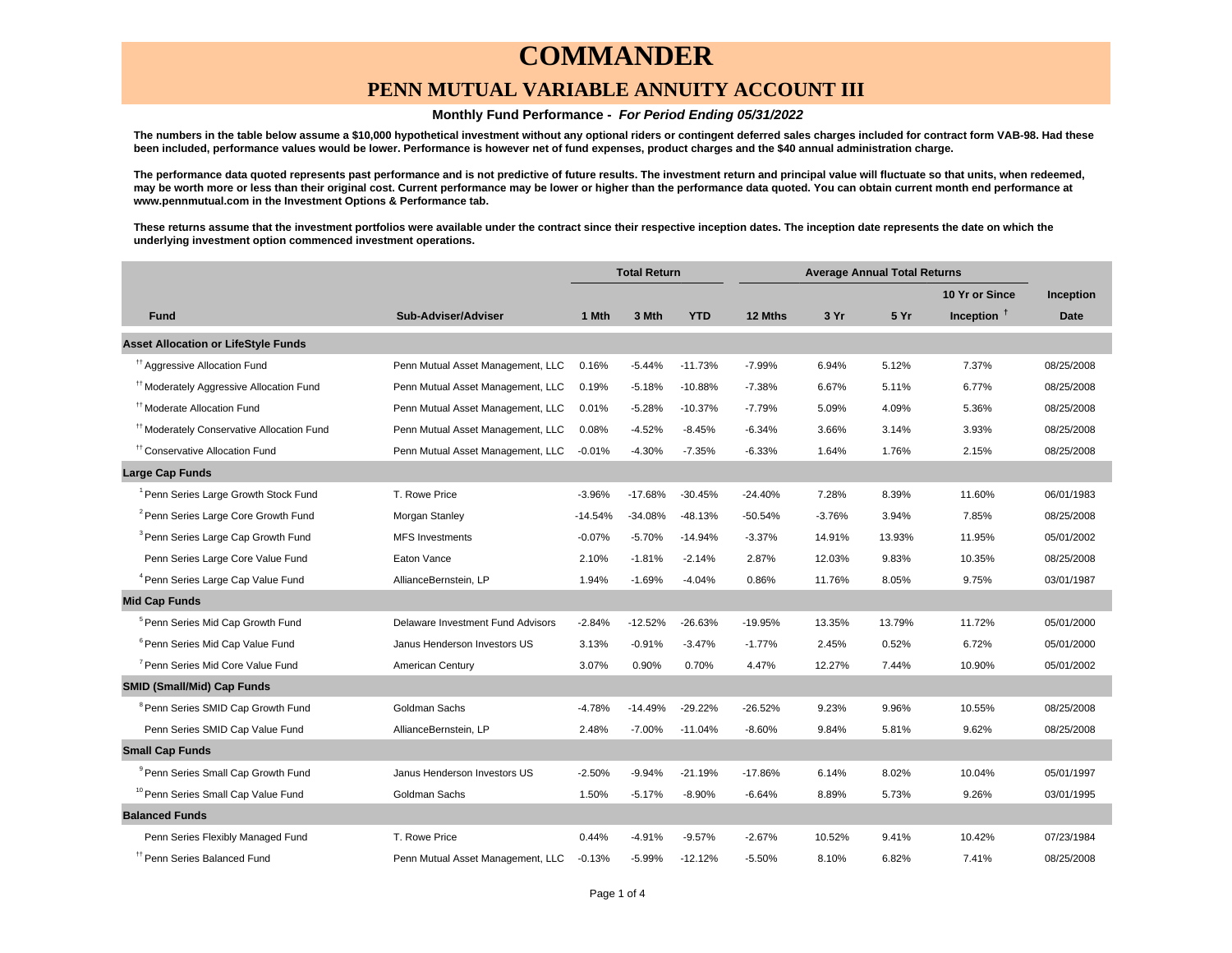### **PENN MUTUAL VARIABLE ANNUITY ACCOUNT III**

#### **Monthly Fund Performance - For Period Ending 05/31/2022**

**The numbers in the table below assume a \$10,000 hypothetical investment without any optional riders or contingent deferred sales charges included for contract form VAB-98. Had these been included, performance values would be lower. Performance is however net of fund expenses, product charges and the \$40 annual administration charge.**

**The performance data quoted represents past performance and is not predictive of future results. The investment return and principal value will fluctuate so that units, when redeemed, may be worth more or less than their original cost. Current performance may be lower or higher than the performance data quoted. You can obtain current month end performance at www.pennmutual.com in the Investment Options & Performance tab.**

**These returns assume that the investment portfolios were available under the contract since their respective inception dates. The inception date represents the date on which the underlying investment option commenced investment operations.**

|                                                       |                                   | <b>Total Return</b> |           | <b>Average Annual Total Returns</b> |           |          |        |                |             |
|-------------------------------------------------------|-----------------------------------|---------------------|-----------|-------------------------------------|-----------|----------|--------|----------------|-------------|
|                                                       |                                   |                     |           |                                     |           |          |        | 10 Yr or Since | Inception   |
| <b>Fund</b>                                           | Sub-Adviser/Adviser               | 1 Mth               | 3 Mth     | <b>YTD</b>                          | 12 Mths   | 3 Yr     | 5 Yr   | Inception $†$  | <b>Date</b> |
| <b>Asset Allocation or LifeStyle Funds</b>            |                                   |                     |           |                                     |           |          |        |                |             |
| <sup>tt</sup> Aggressive Allocation Fund              | Penn Mutual Asset Management, LLC | 0.16%               | $-5.44%$  | $-11.73%$                           | $-7.99%$  | 6.94%    | 5.12%  | 7.37%          | 08/25/2008  |
| <sup>#†</sup> Moderately Aggressive Allocation Fund   | Penn Mutual Asset Management, LLC | 0.19%               | $-5.18%$  | $-10.88%$                           | $-7.38%$  | 6.67%    | 5.11%  | 6.77%          | 08/25/2008  |
| <sup>11</sup> Moderate Allocation Fund                | Penn Mutual Asset Management, LLC | 0.01%               | $-5.28%$  | $-10.37%$                           | $-7.79%$  | 5.09%    | 4.09%  | 5.36%          | 08/25/2008  |
| <sup>11</sup> Moderately Conservative Allocation Fund | Penn Mutual Asset Management, LLC | 0.08%               | $-4.52%$  | $-8.45%$                            | $-6.34%$  | 3.66%    | 3.14%  | 3.93%          | 08/25/2008  |
| <sup>11</sup> Conservative Allocation Fund            | Penn Mutual Asset Management, LLC | $-0.01%$            | $-4.30%$  | $-7.35%$                            | $-6.33%$  | 1.64%    | 1.76%  | 2.15%          | 08/25/2008  |
| <b>Large Cap Funds</b>                                |                                   |                     |           |                                     |           |          |        |                |             |
| <sup>1</sup> Penn Series Large Growth Stock Fund      | T. Rowe Price                     | $-3.96%$            | $-17.68%$ | $-30.45%$                           | $-24.40%$ | 7.28%    | 8.39%  | 11.60%         | 06/01/1983  |
| <sup>2</sup> Penn Series Large Core Growth Fund       | Morgan Stanley                    | $-14.54%$           | $-34.08%$ | $-48.13%$                           | $-50.54%$ | $-3.76%$ | 3.94%  | 7.85%          | 08/25/2008  |
| <sup>3</sup> Penn Series Large Cap Growth Fund        | <b>MFS Investments</b>            | $-0.07%$            | $-5.70%$  | $-14.94%$                           | $-3.37%$  | 14.91%   | 13.93% | 11.95%         | 05/01/2002  |
| Penn Series Large Core Value Fund                     | Eaton Vance                       | 2.10%               | $-1.81%$  | $-2.14%$                            | 2.87%     | 12.03%   | 9.83%  | 10.35%         | 08/25/2008  |
| <sup>4</sup> Penn Series Large Cap Value Fund         | AllianceBernstein, LP             | 1.94%               | $-1.69%$  | $-4.04%$                            | 0.86%     | 11.76%   | 8.05%  | 9.75%          | 03/01/1987  |
| <b>Mid Cap Funds</b>                                  |                                   |                     |           |                                     |           |          |        |                |             |
| <sup>5</sup> Penn Series Mid Cap Growth Fund          | Delaware Investment Fund Advisors | $-2.84%$            | $-12.52%$ | $-26.63%$                           | -19.95%   | 13.35%   | 13.79% | 11.72%         | 05/01/2000  |
| <sup>6</sup> Penn Series Mid Cap Value Fund           | Janus Henderson Investors US      | 3.13%               | $-0.91%$  | $-3.47%$                            | $-1.77%$  | 2.45%    | 0.52%  | 6.72%          | 05/01/2000  |
| <sup>7</sup> Penn Series Mid Core Value Fund          | American Century                  | 3.07%               | 0.90%     | 0.70%                               | 4.47%     | 12.27%   | 7.44%  | 10.90%         | 05/01/2002  |
| <b>SMID (Small/Mid) Cap Funds</b>                     |                                   |                     |           |                                     |           |          |        |                |             |
| <sup>8</sup> Penn Series SMID Cap Growth Fund         | Goldman Sachs                     | $-4.78%$            | $-14.49%$ | $-29.22%$                           | $-26.52%$ | 9.23%    | 9.96%  | 10.55%         | 08/25/2008  |
| Penn Series SMID Cap Value Fund                       | AllianceBernstein, LP             | 2.48%               | $-7.00%$  | $-11.04%$                           | $-8.60%$  | 9.84%    | 5.81%  | 9.62%          | 08/25/2008  |
| <b>Small Cap Funds</b>                                |                                   |                     |           |                                     |           |          |        |                |             |
| <sup>9</sup> Penn Series Small Cap Growth Fund        | Janus Henderson Investors US      | $-2.50%$            | $-9.94%$  | $-21.19%$                           | -17.86%   | 6.14%    | 8.02%  | 10.04%         | 05/01/1997  |
| <sup>10</sup> Penn Series Small Cap Value Fund        | Goldman Sachs                     | 1.50%               | $-5.17%$  | $-8.90%$                            | $-6.64%$  | 8.89%    | 5.73%  | 9.26%          | 03/01/1995  |
| <b>Balanced Funds</b>                                 |                                   |                     |           |                                     |           |          |        |                |             |
| Penn Series Flexibly Managed Fund                     | T. Rowe Price                     | 0.44%               | $-4.91%$  | $-9.57%$                            | $-2.67%$  | 10.52%   | 9.41%  | 10.42%         | 07/23/1984  |
| <sup>#</sup> Penn Series Balanced Fund                | Penn Mutual Asset Management, LLC | $-0.13%$            | $-5.99%$  | $-12.12%$                           | $-5.50%$  | 8.10%    | 6.82%  | 7.41%          | 08/25/2008  |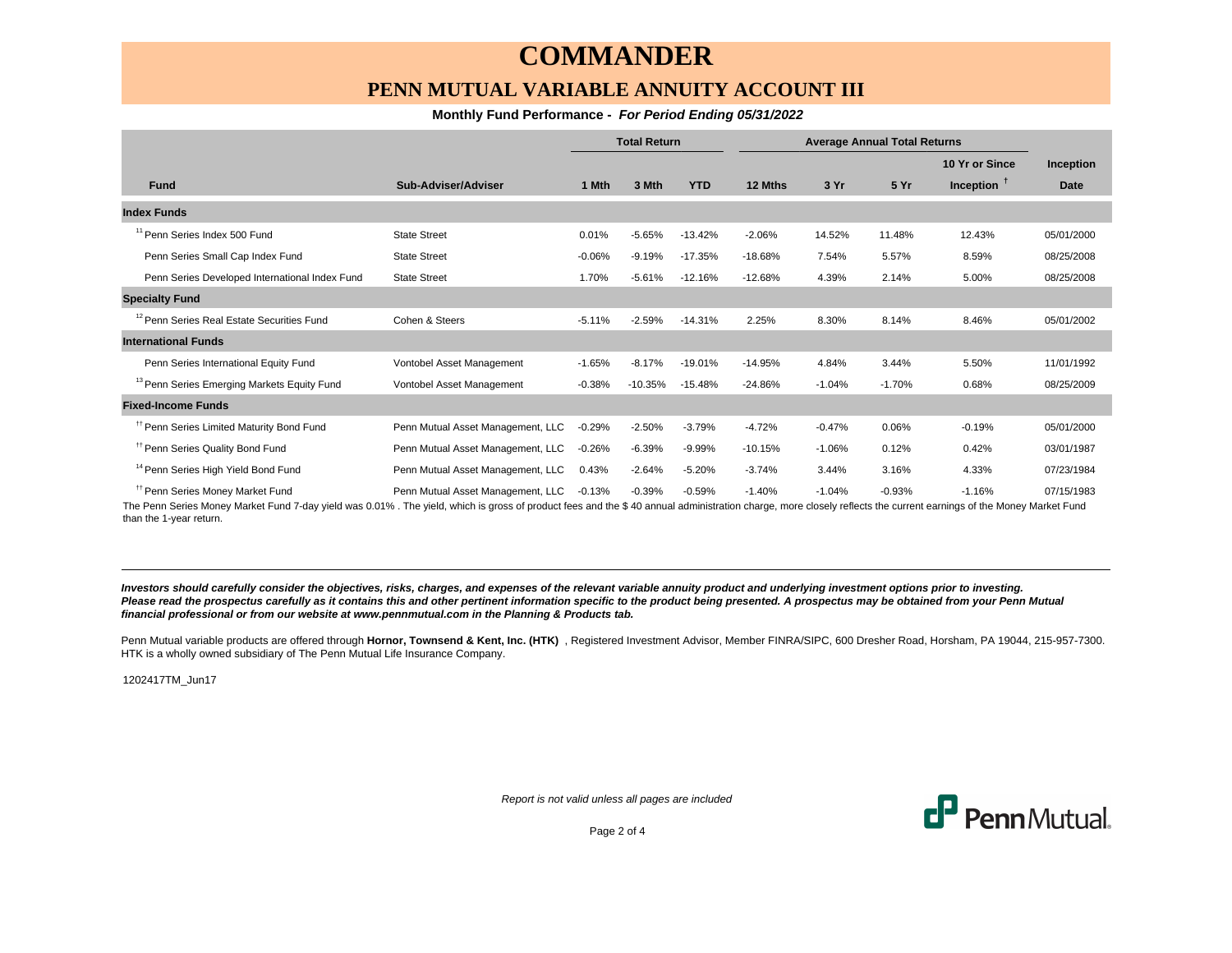### **PENN MUTUAL VARIABLE ANNUITY ACCOUNT III**

### **Monthly Fund Performance - For Period Ending 05/31/2022**

|                                                        |                                   | <b>Total Return</b> |           | <b>Average Annual Total Returns</b> |           |          |          |                |            |
|--------------------------------------------------------|-----------------------------------|---------------------|-----------|-------------------------------------|-----------|----------|----------|----------------|------------|
|                                                        |                                   |                     |           |                                     |           |          |          | 10 Yr or Since | Inception  |
| <b>Fund</b>                                            | Sub-Adviser/Adviser               | 1 Mth               | 3 Mth     | <b>YTD</b>                          | 12 Mths   | 3 Yr     | 5 Yr     | Inception $†$  | Date       |
| <b>Index Funds</b>                                     |                                   |                     |           |                                     |           |          |          |                |            |
| <sup>11</sup> Penn Series Index 500 Fund               | <b>State Street</b>               | 0.01%               | $-5.65%$  | $-13.42%$                           | $-2.06%$  | 14.52%   | 11.48%   | 12.43%         | 05/01/2000 |
| Penn Series Small Cap Index Fund                       | <b>State Street</b>               | $-0.06%$            | $-9.19%$  | $-17.35%$                           | $-18.68%$ | 7.54%    | 5.57%    | 8.59%          | 08/25/2008 |
| Penn Series Developed International Index Fund         | <b>State Street</b>               | 1.70%               | $-5.61%$  | $-12.16%$                           | $-12.68%$ | 4.39%    | 2.14%    | 5.00%          | 08/25/2008 |
| <b>Specialty Fund</b>                                  |                                   |                     |           |                                     |           |          |          |                |            |
| <sup>12</sup> Penn Series Real Estate Securities Fund  | Cohen & Steers                    | $-5.11%$            | $-2.59%$  | $-14.31%$                           | 2.25%     | 8.30%    | 8.14%    | 8.46%          | 05/01/2002 |
| <b>International Funds</b>                             |                                   |                     |           |                                     |           |          |          |                |            |
| Penn Series International Equity Fund                  | Vontobel Asset Management         | $-1.65%$            | $-8.17%$  | $-19.01%$                           | $-14.95%$ | 4.84%    | 3.44%    | 5.50%          | 11/01/1992 |
| <sup>13</sup> Penn Series Emerging Markets Equity Fund | Vontobel Asset Management         | $-0.38%$            | $-10.35%$ | $-15.48%$                           | $-24.86%$ | $-1.04%$ | $-1.70%$ | 0.68%          | 08/25/2009 |
| <b>Fixed-Income Funds</b>                              |                                   |                     |           |                                     |           |          |          |                |            |
| <sup>11</sup> Penn Series Limited Maturity Bond Fund   | Penn Mutual Asset Management, LLC | $-0.29%$            | $-2.50%$  | $-3.79%$                            | $-4.72%$  | $-0.47%$ | 0.06%    | $-0.19%$       | 05/01/2000 |
| <sup>11</sup> Penn Series Quality Bond Fund            | Penn Mutual Asset Management, LLC | $-0.26%$            | $-6.39%$  | $-9.99%$                            | $-10.15%$ | $-1.06%$ | 0.12%    | 0.42%          | 03/01/1987 |
| <sup>14</sup> Penn Series High Yield Bond Fund         | Penn Mutual Asset Management, LLC | 0.43%               | $-2.64%$  | $-5.20%$                            | $-3.74%$  | 3.44%    | 3.16%    | 4.33%          | 07/23/1984 |
| <sup>#</sup> Penn Series Money Market Fund             | Penn Mutual Asset Management, LLC | $-0.13%$            | $-0.39%$  | $-0.59%$                            | $-1.40%$  | $-1.04%$ | $-0.93%$ | $-1.16%$       | 07/15/1983 |

The Penn Series Money Market Fund 7-day yield was 0.01% . The yield, which is gross of product fees and the \$ 40 annual administration charge, more closely reflects the current earnings of the Money Market Fund than the 1-year return.

**Investors should carefully consider the objectives, risks, charges, and expenses of the relevant variable annuity product and underlying investment options prior to investing.** Please read the prospectus carefully as it contains this and other pertinent information specific to the product being presented. A prospectus may be obtained from your Penn Mutual **financial professional or from our website at www.pennmutual.com in the Planning & Products tab.**

Penn Mutual variable products are offered through Hornor, Townsend & Kent, Inc. (HTK), Registered Investment Advisor, Member FINRA/SIPC, 600 Dresher Road, Horsham, PA 19044, 215-957-7300. HTK is a wholly owned subsidiary of The Penn Mutual Life Insurance Company.

1202417TM\_Jun17

Report is not valid unless all pages are included



Page 2 of 4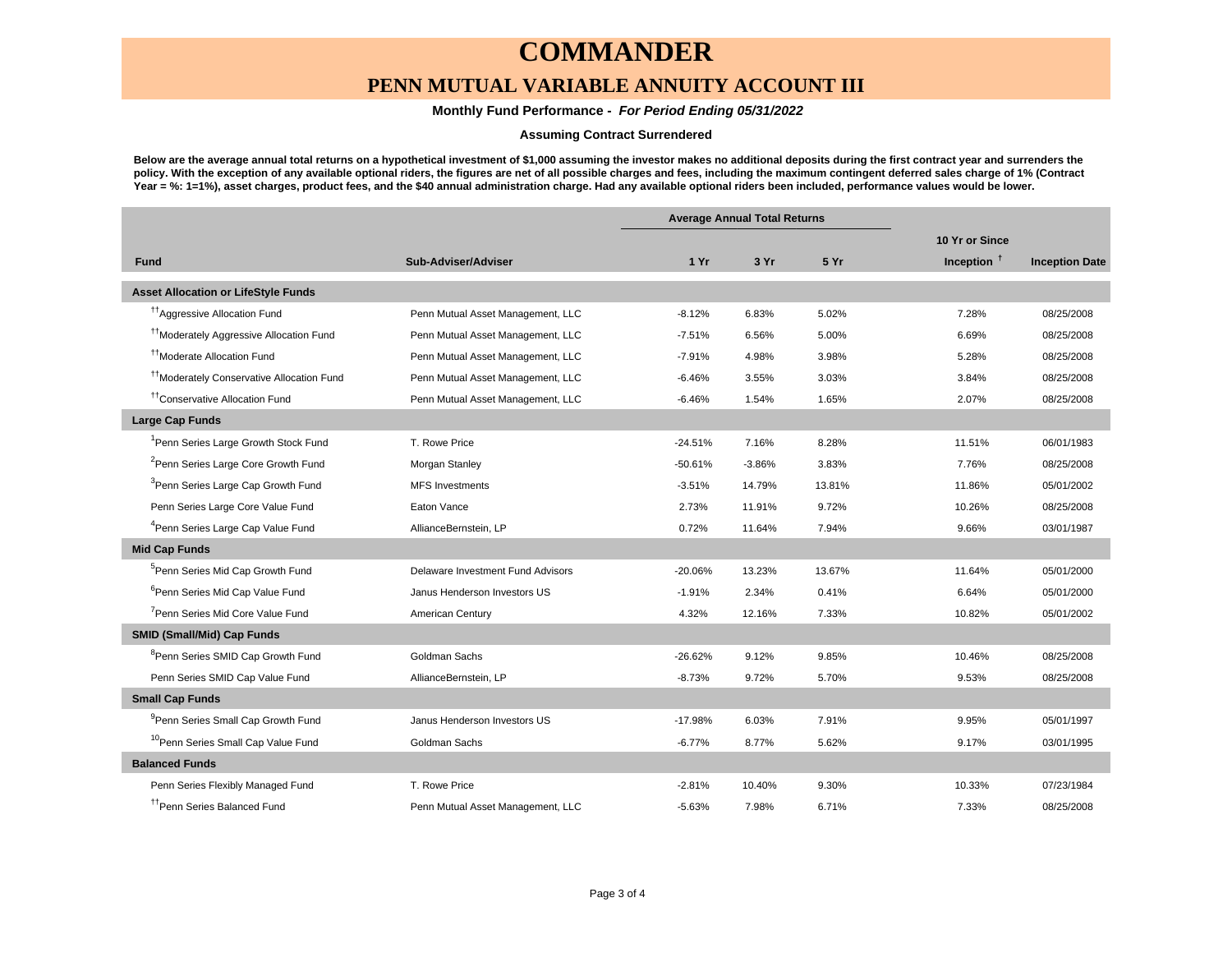### **PENN MUTUAL VARIABLE ANNUITY ACCOUNT III**

### **Monthly Fund Performance - For Period Ending 05/31/2022**

#### **Assuming Contract Surrendered**

**Below are the average annual total returns on a hypothetical investment of \$1,000 assuming the investor makes no additional deposits during the first contract year and surrenders the policy. With the exception of any available optional riders, the figures are net of all possible charges and fees, including the maximum contingent deferred sales charge of 1% (Contract Year = %: 1=1%), asset charges, product fees, and the \$40 annual administration charge. Had any available optional riders been included, performance values would be lower.**

|                                                       |                                   |           | <b>Average Annual Total Returns</b> |        |                |                       |
|-------------------------------------------------------|-----------------------------------|-----------|-------------------------------------|--------|----------------|-----------------------|
|                                                       |                                   |           |                                     |        | 10 Yr or Since |                       |
| <b>Fund</b>                                           | Sub-Adviser/Adviser               | 1Yr       | 3 Yr                                | 5 Yr   | Inception $†$  | <b>Inception Date</b> |
| <b>Asset Allocation or LifeStyle Funds</b>            |                                   |           |                                     |        |                |                       |
| <sup>11</sup> Aggressive Allocation Fund              | Penn Mutual Asset Management, LLC | $-8.12%$  | 6.83%                               | 5.02%  | 7.28%          | 08/25/2008            |
| <sup>††</sup> Moderately Aggressive Allocation Fund   | Penn Mutual Asset Management, LLC | $-7.51%$  | 6.56%                               | 5.00%  | 6.69%          | 08/25/2008            |
| <sup>††</sup> Moderate Allocation Fund                | Penn Mutual Asset Management, LLC | $-7.91%$  | 4.98%                               | 3.98%  | 5.28%          | 08/25/2008            |
| <sup>11</sup> Moderately Conservative Allocation Fund | Penn Mutual Asset Management, LLC | $-6.46%$  | 3.55%                               | 3.03%  | 3.84%          | 08/25/2008            |
| <sup>tt</sup> Conservative Allocation Fund            | Penn Mutual Asset Management, LLC | $-6.46%$  | 1.54%                               | 1.65%  | 2.07%          | 08/25/2008            |
| <b>Large Cap Funds</b>                                |                                   |           |                                     |        |                |                       |
| <sup>1</sup> Penn Series Large Growth Stock Fund      | T. Rowe Price                     | $-24.51%$ | 7.16%                               | 8.28%  | 11.51%         | 06/01/1983            |
| <sup>2</sup> Penn Series Large Core Growth Fund       | Morgan Stanley                    | $-50.61%$ | $-3.86%$                            | 3.83%  | 7.76%          | 08/25/2008            |
| <sup>3</sup> Penn Series Large Cap Growth Fund        | <b>MFS Investments</b>            | $-3.51%$  | 14.79%                              | 13.81% | 11.86%         | 05/01/2002            |
| Penn Series Large Core Value Fund                     | Eaton Vance                       | 2.73%     | 11.91%                              | 9.72%  | 10.26%         | 08/25/2008            |
| <sup>4</sup> Penn Series Large Cap Value Fund         | AllianceBernstein, LP             | 0.72%     | 11.64%                              | 7.94%  | 9.66%          | 03/01/1987            |
| <b>Mid Cap Funds</b>                                  |                                   |           |                                     |        |                |                       |
| <sup>5</sup> Penn Series Mid Cap Growth Fund          | Delaware Investment Fund Advisors | $-20.06%$ | 13.23%                              | 13.67% | 11.64%         | 05/01/2000            |
| <sup>6</sup> Penn Series Mid Cap Value Fund           | Janus Henderson Investors US      | $-1.91%$  | 2.34%                               | 0.41%  | 6.64%          | 05/01/2000            |
| <sup>7</sup> Penn Series Mid Core Value Fund          | American Century                  | 4.32%     | 12.16%                              | 7.33%  | 10.82%         | 05/01/2002            |
| <b>SMID (Small/Mid) Cap Funds</b>                     |                                   |           |                                     |        |                |                       |
| <sup>8</sup> Penn Series SMID Cap Growth Fund         | Goldman Sachs                     | $-26.62%$ | 9.12%                               | 9.85%  | 10.46%         | 08/25/2008            |
| Penn Series SMID Cap Value Fund                       | AllianceBernstein, LP             | $-8.73%$  | 9.72%                               | 5.70%  | 9.53%          | 08/25/2008            |
| <b>Small Cap Funds</b>                                |                                   |           |                                     |        |                |                       |
| <sup>9</sup> Penn Series Small Cap Growth Fund        | Janus Henderson Investors US      | $-17.98%$ | 6.03%                               | 7.91%  | 9.95%          | 05/01/1997            |
| <sup>10</sup> Penn Series Small Cap Value Fund        | Goldman Sachs                     | $-6.77%$  | 8.77%                               | 5.62%  | 9.17%          | 03/01/1995            |
| <b>Balanced Funds</b>                                 |                                   |           |                                     |        |                |                       |
| Penn Series Flexibly Managed Fund                     | T. Rowe Price                     | $-2.81%$  | 10.40%                              | 9.30%  | 10.33%         | 07/23/1984            |
| <sup>††</sup> Penn Series Balanced Fund               | Penn Mutual Asset Management, LLC | $-5.63%$  | 7.98%                               | 6.71%  | 7.33%          | 08/25/2008            |